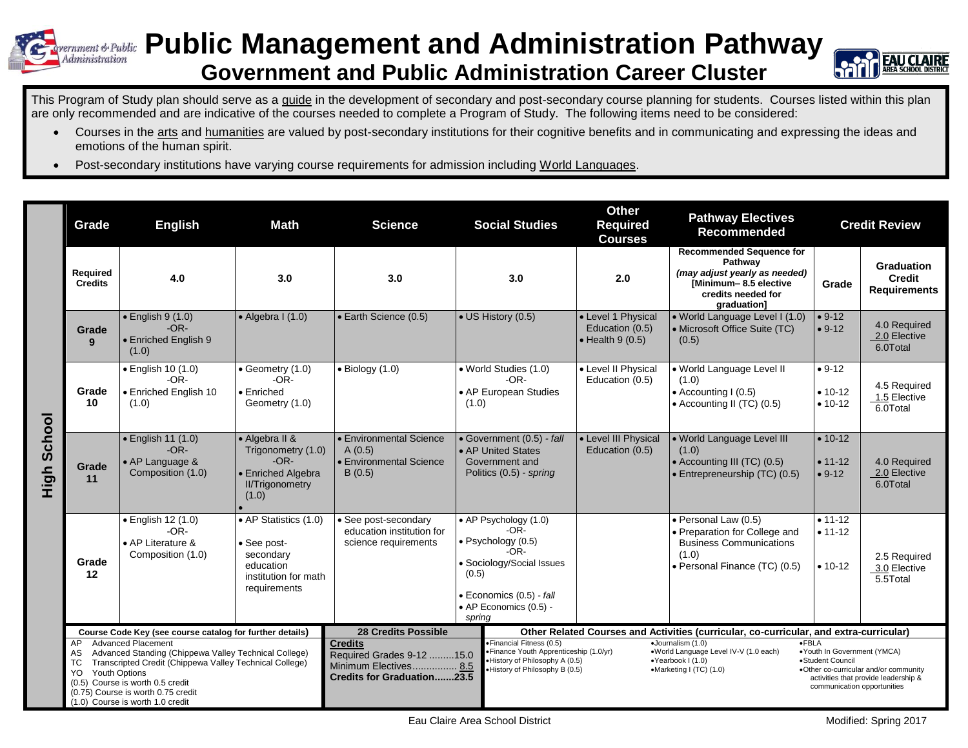## **Public Management and Administration Pathway** Administration **Government and Public Administration Career Cluster**



This Program of Study plan should serve as a guide in the development of secondary and post-secondary course planning for students. Courses listed within this plan are only recommended and are indicative of the courses needed to complete a Program of Study. The following items need to be considered:

- Courses in the arts and humanities are valued by post-secondary institutions for their cognitive benefits and in communicating and expressing the ideas and emotions of the human spirit.
- Post-secondary institutions have varying course requirements for admission including World Languages.

|                    | Grade                                                                                       | <b>English</b>                                                                                                                                                                                                                 | <b>Math</b>                                                                                            | <b>Science</b>                                                                                                                                                                                                                                                                      | <b>Social Studies</b>                                                                                                                                                 | <b>Other</b><br><b>Required</b><br><b>Courses</b>                 | <b>Pathway Electives</b><br><b>Recommended</b>                                                                                                   |                                                 | <b>Credit Review</b>                                                          |
|--------------------|---------------------------------------------------------------------------------------------|--------------------------------------------------------------------------------------------------------------------------------------------------------------------------------------------------------------------------------|--------------------------------------------------------------------------------------------------------|-------------------------------------------------------------------------------------------------------------------------------------------------------------------------------------------------------------------------------------------------------------------------------------|-----------------------------------------------------------------------------------------------------------------------------------------------------------------------|-------------------------------------------------------------------|--------------------------------------------------------------------------------------------------------------------------------------------------|-------------------------------------------------|-------------------------------------------------------------------------------|
| <b>High School</b> | Required<br><b>Credits</b>                                                                  | 4.0                                                                                                                                                                                                                            | 3.0                                                                                                    | 3.0                                                                                                                                                                                                                                                                                 | 3.0                                                                                                                                                                   | 2.0                                                               | <b>Recommended Sequence for</b><br>Pathway<br>(may adjust yearly as needed)<br>[Minimum-8.5 elective<br>credits needed for<br><b>graduation1</b> | Grade                                           | <b>Graduation</b><br><b>Credit</b><br><b>Requirements</b>                     |
|                    | Grade<br>9                                                                                  | $\bullet$ English 9 (1.0)<br>$-OR-$<br>• Enriched English 9<br>(1.0)                                                                                                                                                           | $\bullet$ Algebra I (1.0)                                                                              | • Earth Science (0.5)                                                                                                                                                                                                                                                               | $\bullet$ US History (0.5)                                                                                                                                            | • Level 1 Physical<br>Education (0.5)<br>$\bullet$ Health 9 (0.5) | · World Language Level I (1.0)<br>• Microsoft Office Suite (TC)<br>(0.5)                                                                         | $• 9-12$<br>$• 9-12$                            | 4.0 Required<br>2.0 Elective<br>6.0Total                                      |
|                    | Grade<br>10                                                                                 | $\bullet$ English 10 $(1.0)$<br>$-OR-$<br>· Enriched English 10<br>(1.0)                                                                                                                                                       | • Geometry (1.0)<br>$-OR-$<br>• Enriched<br>Geometry (1.0)                                             | $\bullet$ Biology (1.0)                                                                                                                                                                                                                                                             | · World Studies (1.0)<br>$-OR-$<br>• AP European Studies<br>(1.0)                                                                                                     | • Level II Physical<br>Education (0.5)                            | • World Language Level II<br>(1.0)<br>• Accounting I (0.5)<br>• Accounting II (TC) (0.5)                                                         | $• 9-12$<br>$• 10-12$<br>$• 10-12$              | 4.5 Required<br>1.5 Elective<br>6.0Total                                      |
|                    | Grade<br>11                                                                                 | $\bullet$ English 11 (1.0)<br>$-OR-$<br>• AP Language &<br>Composition (1.0)                                                                                                                                                   | • Algebra II &<br>Trigonometry (1.0)<br>$-OR-$<br>• Enriched Algebra<br>II/Trigonometry<br>(1.0)       | • Environmental Science<br>A(0.5)<br>• Environmental Science<br>B(0.5)                                                                                                                                                                                                              | • Government (0.5) - fall<br>• AP United States<br>Government and<br>Politics (0.5) - spring                                                                          | • Level III Physical<br>Education (0.5)                           | · World Language Level III<br>(1.0)<br>• Accounting III (TC) (0.5)<br>· Entrepreneurship (TC) (0.5)                                              | $• 10-12$<br>$• 11-12$<br>$• 9-12$              | 4.0 Required<br>2.0 Elective<br>6.0Total                                      |
|                    | Grade<br>12                                                                                 | · English 12 (1.0)<br>$-OR-$<br>• AP Literature &<br>Composition (1.0)                                                                                                                                                         | • AP Statistics (1.0)<br>• See post-<br>secondary<br>education<br>institution for math<br>requirements | • See post-secondary<br>education institution for<br>science requirements                                                                                                                                                                                                           | • AP Psychology (1.0)<br>$-OR-$<br>· Psychology (0.5)<br>$-OR-$<br>· Sociology/Social Issues<br>(0.5)<br>· Economics (0.5) - fall<br>• AP Economics (0.5) -<br>spring |                                                                   | · Personal Law (0.5)<br>• Preparation for College and<br><b>Business Communications</b><br>(1.0)<br>• Personal Finance (TC) (0.5)                | $• 11 - 12$<br>$• 11 - 12$<br>$• 10-12$         | 2.5 Required<br>3.0 Elective<br>5.5Total                                      |
|                    | Course Code Key (see course catalog for further details)<br><b>Advanced Placement</b><br>AP |                                                                                                                                                                                                                                |                                                                                                        | <b>28 Credits Possible</b><br>Other Related Courses and Activities (curricular, co-curricular, and extra-curricular)<br>·Financial Fitness (0.5)<br>$\bullet$ FBLA<br><b>Credits</b><br>·Journalism (1.0)<br>.Youth In Government (YMCA)<br>• Finance Youth Apprenticeship (1.0/yr) |                                                                                                                                                                       |                                                                   |                                                                                                                                                  |                                                 |                                                                               |
|                    | AS<br>ТC<br><b>Youth Options</b><br>YO                                                      | Advanced Standing (Chippewa Valley Technical College)<br>Transcripted Credit (Chippewa Valley Technical College)<br>(0.5) Course is worth 0.5 credit<br>(0.75) Course is worth 0.75 credit<br>(1.0) Course is worth 1.0 credit |                                                                                                        | Required Grades 9-12 15.0<br>Minimum Electives 8.5<br><b>Credits for Graduation23.5</b>                                                                                                                                                                                             | .History of Philosophy A (0.5)<br>.History of Philosophy B (0.5)                                                                                                      |                                                                   | .World Language Level IV-V (1.0 each)<br>·Yearbook I (1.0)<br>•Marketing I (TC) (1.0)                                                            | •Student Council<br>communication opportunities | .Other co-curricular and/or community<br>activities that provide leadership & |